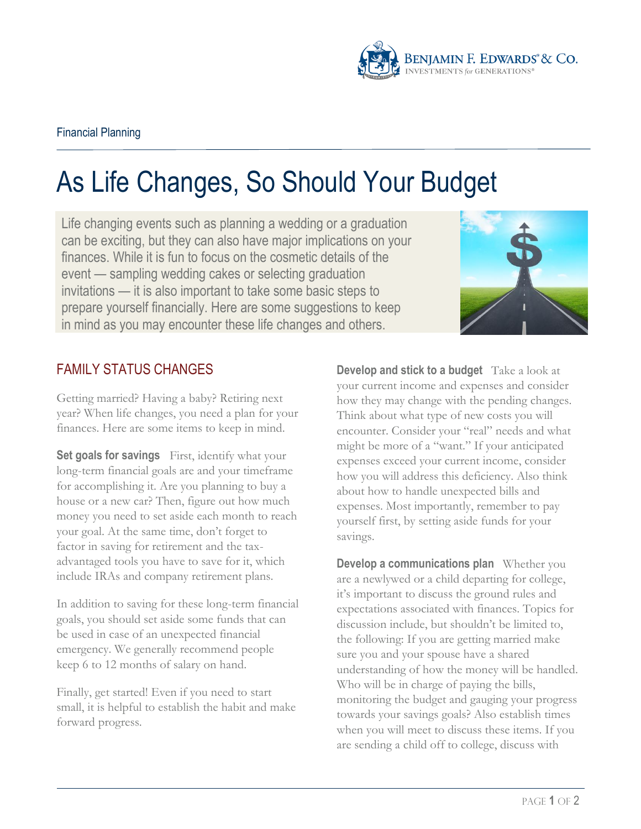

## As Life Changes, So Should Your Budget

Life changing events such as planning a wedding or a graduation can be exciting, but they can also have major implications on your finances. While it is fun to focus on the cosmetic details of the event — sampling wedding cakes or selecting graduation invitations — it is also important to take some basic steps to prepare yourself financially. Here are some suggestions to keep in mind as you may encounter these life changes and others.



## FAMILY STATUS CHANGES

Getting married? Having a baby? Retiring next year? When life changes, you need a plan for your finances. Here are some items to keep in mind.

**Set goals for savings** First, identify what your long-term financial goals are and your timeframe for accomplishing it. Are you planning to buy a house or a new car? Then, figure out how much money you need to set aside each month to reach your goal. At the same time, don't forget to factor in saving for retirement and the taxadvantaged tools you have to save for it, which include IRAs and company retirement plans.

In addition to saving for these long-term financial goals, you should set aside some funds that can be used in case of an unexpected financial emergency. We generally recommend people keep 6 to 12 months of salary on hand.

Finally, get started! Even if you need to start small, it is helpful to establish the habit and make forward progress.

**Develop and stick to a budget** Take a look at your current income and expenses and consider how they may change with the pending changes. Think about what type of new costs you will encounter. Consider your "real" needs and what might be more of a "want." If your anticipated expenses exceed your current income, consider how you will address this deficiency. Also think about how to handle unexpected bills and expenses. Most importantly, remember to pay yourself first, by setting aside funds for your savings.

**Develop a communications plan** Whether you are a newlywed or a child departing for college, it's important to discuss the ground rules and expectations associated with finances. Topics for discussion include, but shouldn't be limited to, the following: If you are getting married make sure you and your spouse have a shared understanding of how the money will be handled. Who will be in charge of paying the bills, monitoring the budget and gauging your progress towards your savings goals? Also establish times when you will meet to discuss these items. If you are sending a child off to college, discuss with